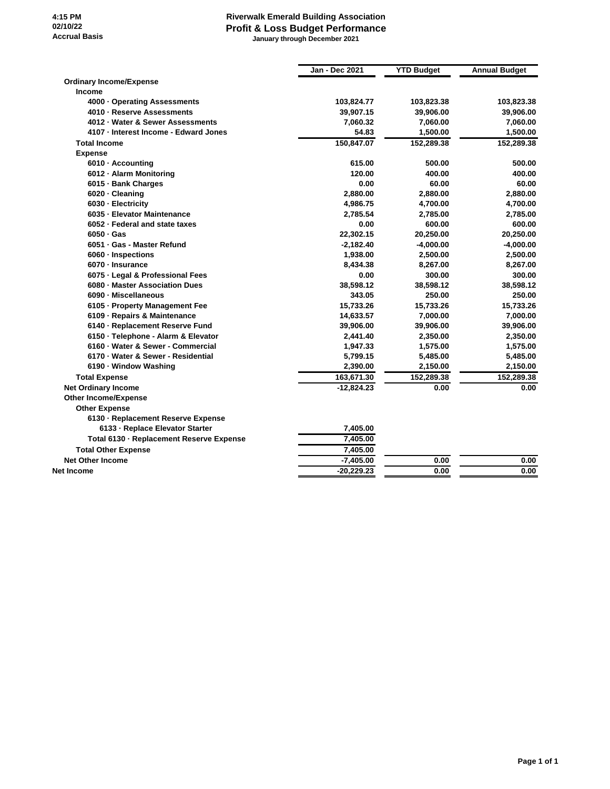## **Riverwalk Emerald Building Association Profit & Loss Budget Performance January through December 2021**

|                                          | <b>Jan - Dec 2021</b> | <b>YTD Budget</b> | <b>Annual Budget</b> |
|------------------------------------------|-----------------------|-------------------|----------------------|
| <b>Ordinary Income/Expense</b>           |                       |                   |                      |
| Income                                   |                       |                   |                      |
| 4000 · Operating Assessments             | 103,824.77            | 103,823.38        | 103,823.38           |
| 4010 - Reserve Assessments               | 39,907.15             | 39,906.00         | 39,906.00            |
| 4012 · Water & Sewer Assessments         | 7,060.32              | 7,060.00          | 7,060.00             |
| 4107 · Interest Income - Edward Jones    | 54.83                 | 1,500.00          | 1,500.00             |
| <b>Total Income</b>                      | 150,847.07            | 152,289.38        | 152,289.38           |
| <b>Expense</b>                           |                       |                   |                      |
| 6010 · Accounting                        | 615.00                | 500.00            | 500.00               |
| 6012 - Alarm Monitoring                  | 120.00                | 400.00            | 400.00               |
| 6015 · Bank Charges                      | 0.00                  | 60.00             | 60.00                |
| 6020 · Cleaning                          | 2,880.00              | 2,880.00          | 2,880.00             |
| 6030 - Electricity                       | 4,986.75              | 4,700.00          | 4,700.00             |
| 6035 - Elevator Maintenance              | 2.785.54              | 2,785.00          | 2,785.00             |
| 6052 · Federal and state taxes           | 0.00                  | 600.00            | 600.00               |
| $6050 \cdot Gas$                         | 22,302.15             | 20,250.00         | 20,250.00            |
| 6051 · Gas - Master Refund               | $-2,182.40$           | $-4,000.00$       | $-4,000.00$          |
| 6060 - Inspections                       | 1,938.00              | 2,500.00          | 2,500.00             |
| 6070 - Insurance                         | 8.434.38              | 8.267.00          | 8,267.00             |
| 6075 - Legal & Professional Fees         | 0.00                  | 300.00            | 300.00               |
| 6080 - Master Association Dues           | 38,598.12             | 38,598.12         | 38,598.12            |
| 6090 · Miscellaneous                     | 343.05                | 250.00            | 250.00               |
| 6105 · Property Management Fee           | 15,733.26             | 15,733.26         | 15,733.26            |
| 6109 - Repairs & Maintenance             | 14,633.57             | 7,000.00          | 7,000.00             |
| 6140 - Replacement Reserve Fund          | 39,906.00             | 39,906.00         | 39,906.00            |
| 6150 - Telephone - Alarm & Elevator      | 2,441.40              | 2,350.00          | 2,350.00             |
| 6160 - Water & Sewer - Commercial        | 1,947.33              | 1,575.00          | 1,575.00             |
| 6170 · Water & Sewer - Residential       | 5,799.15              | 5,485.00          | 5,485.00             |
| 6190 - Window Washing                    | 2,390.00              | 2,150.00          | 2,150.00             |
| <b>Total Expense</b>                     | 163,671.30            | 152,289.38        | 152,289.38           |
| <b>Net Ordinary Income</b>               | $-12,824.23$          | 0.00              | 0.00                 |
| <b>Other Income/Expense</b>              |                       |                   |                      |
| <b>Other Expense</b>                     |                       |                   |                      |
| 6130 - Replacement Reserve Expense       |                       |                   |                      |
| 6133 - Replace Elevator Starter          | 7,405.00              |                   |                      |
| Total 6130 - Replacement Reserve Expense | 7,405.00              |                   |                      |
| <b>Total Other Expense</b>               | 7,405.00              |                   |                      |
| <b>Net Other Income</b>                  | $-7,405.00$           | 0.00              | 0.00                 |
| Net Income                               | $-20,229.23$          | 0.00              | 0.00                 |
|                                          |                       |                   |                      |